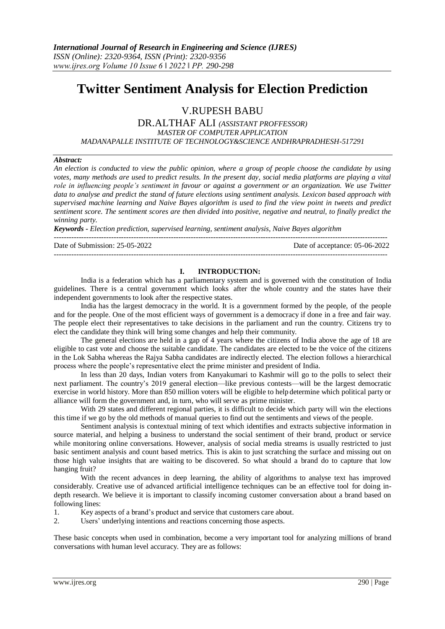# **Twitter Sentiment Analysis for Election Prediction**

V.RUPESH BABU

DR.ALTHAF ALI *(ASSISTANT PROFFESSOR) MASTER OF COMPUTER APPLICATION MADANAPALLE INSTITUTE OF TECHNOLOGY&SCIENCE ANDHRAPRADHESH-517291*

## *Abstract:*

*An election is conducted to view the public opinion, where a group of people choose the candidate by using votes, many methods are used to predict results. In the present day, social media platforms are playing a vital role in influencing people's sentiment in favour or against a government or an organization. We use Twitter data to analyse and predict the stand of future elections using sentiment analysis. Lexicon based approach with supervised machine learning and Naive Bayes algorithm is used to find the view point in tweets and predict sentiment score. The sentiment scores are then divided into positive, negative and neutral, to finally predict the winning party.*

*Keywords - Election prediction, supervised learning, sentiment analysis, Naive Bayes algorithm*

-------------------------------------------------------------------------------------------------------------------------------------- Date of Submission: 25-05-2022 Date of acceptance: 05-06-2022

--------------------------------------------------------------------------------------------------------------------------------------

## **I. INTRODUCTION:**

India is a federation which has a parliamentary system and is governed with the constitution of India guidelines. There is a central government which looks after the whole country and the states have their independent governments to look after the respective states.

India has the largest democracy in the world. It is a government formed by the people, of the people and for the people. One of the most efficient ways of government is a democracy if done in a free and fair way. The people elect their representatives to take decisions in the parliament and run the country. Citizens try to elect the candidate they think will bring some changes and help their community.

The general elections are held in a gap of 4 years where the citizens of India above the age of 18 are eligible to cast vote and choose the suitable candidate. The candidates are elected to be the voice of the citizens in the Lok Sabha whereas the Rajya Sabha candidates are indirectly elected. The election follows a hierarchical process where the people's representative elect the prime minister and president of India.

In less than 20 days, Indian voters from Kanyakumari to Kashmir will go to the polls to select their next parliament. The country's 2019 general election—like previous contests—will be the largest democratic exercise in world history. More than 850 million voters will be eligible to help determine which political party or alliance will form the government and, in turn, who will serve as prime minister.

With 29 states and different regional parties, it is difficult to decide which party will win the elections this time if we go by the old methods of manual queries to find out the sentiments and views of the people.

Sentiment analysis is contextual mining of text which identifies and extracts subjective information in source material, and helping a business to understand the social sentiment of their brand, product or service while monitoring online conversations. However, analysis of social media streams is usually restricted to just basic sentiment analysis and count based metrics. This is akin to just scratching the surface and missing out on those high value insights that are waiting to be discovered. So what should a brand do to capture that low hanging fruit?

With the recent advances in deep learning, the ability of algorithms to analyse text has improved considerably. Creative use of advanced artificial intelligence techniques can be an effective tool for doing indepth research. We believe it is important to classify incoming customer conversation about a brand based on following lines:

1. Key aspects of a brand's product and service that customers care about.

2. Users' underlying intentions and reactions concerning those aspects.

These basic concepts when used in combination, become a very important tool for analyzing millions of brand conversations with human level accuracy. They are as follows: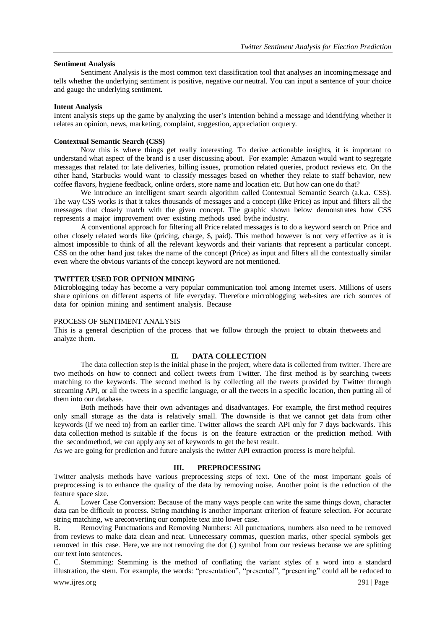#### **Sentiment Analysis**

Sentiment Analysis is the most common text classification tool that analyses an incoming message and tells whether the underlying sentiment is positive, negative our neutral. You can input a sentence of your choice and gauge the underlying sentiment.

#### **Intent Analysis**

Intent analysis steps up the game by analyzing the user's intention behind a message and identifying whether it relates an opinion, news, marketing, complaint, suggestion, appreciation orquery.

#### **Contextual Semantic Search (CSS)**

Now this is where things get really interesting. To derive actionable insights, it is important to understand what aspect of the brand is a user discussing about. For example: Amazon would want to segregate messages that related to: late deliveries, billing issues, promotion related queries, product reviews etc. On the other hand, Starbucks would want to classify messages based on whether they relate to staff behavior, new coffee flavors, hygiene feedback, online orders, store name and location etc. But how can one do that?

We introduce an intelligent smart search algorithm called Contextual Semantic Search (a.k.a. CSS). The way CSS works is that it takes thousands of messages and a concept (like Price) as input and filters all the messages that closely match with the given concept. The graphic shown below demonstrates how CSS represents a major improvement over existing methods used bythe industry.

A conventional approach for filtering all Price related messages is to do a keyword search on Price and other closely related words like (pricing, charge, \$, paid). This method however is not very effective as it is almost impossible to think of all the relevant keywords and their variants that represent a particular concept. CSS on the other hand just takes the name of the concept (Price) as input and filters all the contextually similar even where the obvious variants of the concept keyword are not mentioned.

### **TWITTER USED FOR OPINION MINING**

Microblogging today has become a very popular communication tool among Internet users. Millions of users share opinions on different aspects of life everyday. Therefore microblogging web-sites are rich sources of data for opinion mining and sentiment analysis. Because

# PROCESS OF SENTIMENT ANALYSIS

This is a general description of the process that we follow through the project to obtain thetweets and analyze them.

# **II. DATA COLLECTION**

The data collection step is the initial phase in the project, where data is collected from twitter. There are two methods on how to connect and collect tweets from Twitter. The first method is by searching tweets matching to the keywords. The second method is by collecting all the tweets provided by Twitter through streaming API, or all the tweets in a specific language, or all the tweets in a specific location, then putting all of them into our database.

Both methods have their own advantages and disadvantages. For example, the first method requires only small storage as the data is relatively small. The downside is that we cannot get data from other keywords (if we need to) from an earlier time. Twitter allows the search API only for 7 days backwards. This data collection method is suitable if the focus is on the feature extraction or the prediction method. With the secondmethod, we can apply any set of keywords to get the best result.

As we are going for prediction and future analysis the twitter API extraction process is more helpful.

#### **III. PREPROCESSING**

Twitter analysis methods have various preprocessing steps of text. One of the most important goals of preprocessing is to enhance the quality of the data by removing noise. Another point is the reduction of the feature space size.

A. Lower Case Conversion: Because of the many ways people can write the same things down, character data can be difficult to process. String matching is another important criterion of feature selection. For accurate string matching, we areconverting our complete text into lower case.

B. Removing Punctuations and Removing Numbers: All punctuations, numbers also need to be removed from reviews to make data clean and neat. Unnecessary commas, question marks, other special symbols get removed in this case. Here, we are not removing the dot (.) symbol from our reviews because we are splitting our text into sentences.

C. Stemming: Stemming is the method of conflating the variant styles of a word into a standard illustration, the stem. For example, the words: "presentation", "presented", "presenting" could all be reduced to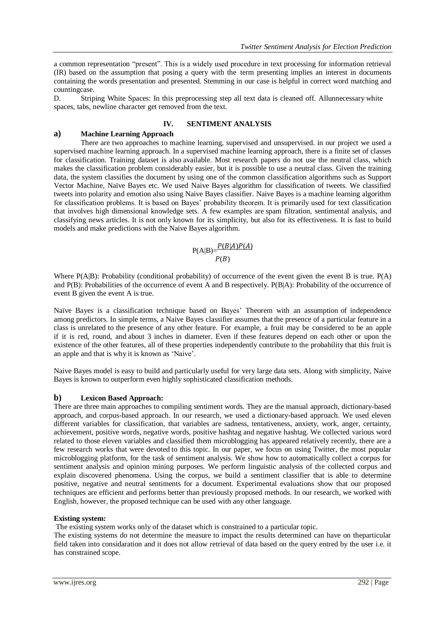a common representation "present". This is a widely used procedure in text processing for information retrieval (IR) based on the assumption that posing a query with the term presenting implies an interest in documents containing the words presentation and presented. Stemming in our case is helpful in correct word matching and countingcase.

D. Striping White Spaces: In this preprocessing step all text data is cleaned off. Allunnecessary white spaces, tabs, newline character get removed from the text.

# **IV. SENTIMENT ANALYSIS**

# **a) Machine Learning Approach**

There are two approaches to machine learning, supervised and unsupervised. in our project we used a supervised machine learning approach. In a supervised machine learning approach, there is a finite set of classes for classification. Training dataset is also available. Most research papers do not use the neutral class, which makes the classification problem considerably easier, but it is possible to use a neutral class. Given the training data, the system classifies the document by using one of the common classification algorithms such as Support Vector Machine, Naïve Bayes etc. We used Naive Bayes algorithm for classification of tweets. We classified tweets into polarity and emotion also using Naive Bayes classifier. Naive Bayes is a machine learning algorithm for classification problems. It is based on Bayes' probability theorem. It is primarily used for text classification that involves high dimensional knowledge sets. A few examples are spam filtration, sentimental analysis, and classifying news articles. It is not only known for its simplicity, but also for its effectiveness. It is fast to build models and make predictions with the Naive Bayes algorithm.

$$
P(A|B) = \frac{P(B|A)P(A)}{P(B)}
$$

Where P(A|B): Probability (conditional probability) of occurrence of the event given the event B is true. P(A) and P(B): Probabilities of the occurrence of event A and B respectively. P(B|A): Probability of the occurrence of event B given the event A is true.

Naïve Bayes is a classification technique based on Bayes' Theorem with an assumption of independence among predictors. In simple terms, a Naive Bayes classifier assumes that the presence of a particular feature in a class is unrelated to the presence of any other feature. For example, a fruit may be considered to be an apple if it is red, round, and about 3 inches in diameter. Even if these features depend on each other or upon the existence of the other features, all of these properties independently contribute to the probability that this fruit is an apple and that is why it is known as 'Naive'.

Naive Bayes model is easy to build and particularly useful for very large data sets. Along with simplicity, Naive Bayes is known to outperform even highly sophisticated classification methods.

# **b) Lexicon Based Approach:**

There are three main approaches to compiling sentiment words. They are the manual approach, dictionary-based approach, and corpus-based approach. In our research, we used a dictionary-based approach. We used eleven different variables for classification, that variables are sadness, tentativeness, anxiety, work, anger, certainty, achievement, positive words, negative words, positive hashtag and negative hashtag. We collected various word related to those eleven variables and classified them microblogging has appeared relatively recently, there are a few research works that were devoted to this topic. In our paper, we focus on using Twitter, the most popular microblogging platform, for the task of sentiment analysis. We show how to automatically collect a corpus for sentiment analysis and opinion mining purposes. We perform linguistic analysis of the collected corpus and explain discovered phenomena. Using the corpus, we build a sentiment classifier that is able to determine positive, negative and neutral sentiments for a document. Experimental evaluations show that our proposed techniques are efficient and performs better than previously proposed methods. In our research, we worked with English, however, the proposed technique can be used with any other language.

# **Existing system:**

The existing system works only of the dataset which is constrained to a particular topic.

The existing systems do not determine the measure to impact the results determined can have on theparticular field taken into considaration and it does not allow retrieval of data based on the query entred by the user i.e. it has constrained scope.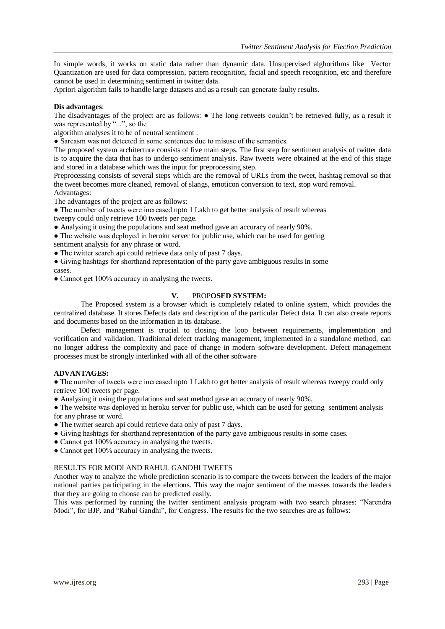In simple words, it works on static data rather than dynamic data. Unsupervised alghorithms like Vector Quantization are used for data compression, pattern recognition, facial and speech recognition, etc and therefore cannot be used in determining sentiment in twitter data.

Apriori algorithm fails to handle large datasets and as a result can generate faulty results.

### **Dis advantages**:

The disadvantages of the project are as follows: ● The long retweets couldn't be retrieved fully, as a result it was represented by "...", so the

algorithm analyses it to be of neutral sentiment .

• Sarcasm was not detected in some sentences due to misuse of the semantics.

The proposed system architecture consists of five main steps. The first step for sentiment analysis of twitter data is to acquire the data that has to undergo sentiment analysis. Raw tweets were obtained at the end of this stage and stored in a database which was the input for preprocessing step.

Preprocessing consists of several steps which are the removal of URLs from the tweet, hashtag removal so that the tweet becomes more cleaned, removal of slangs, emoticon conversion to text, stop word removal. Advantages:

The advantages of the project are as follows:

• The number of tweets were increased upto 1 Lakh to get better analysis of result whereas

tweepy could only retrieve 100 tweets per page.

- Analysing it using the populations and seat method gave an accuracy of nearly 90%.
- The website was deployed in heroku server for public use, which can be used for getting

sentiment analysis for any phrase or word.

- The twitter search api could retrieve data only of past 7 days.
- Giving hashtags for shorthand representation of the party gave ambiguous results in some cases.

• Cannot get 100% accuracy in analysing the tweets.

## **V.** PROP**OSED SYSTEM:**

The Proposed system is a browser which is completely related to online system, which provides the centralized database. It stores Defects data and description of the particular Defect data. It can also create reports and documents based on the information in its database.

Defect management is crucial to closing the loop between requirements, implementation and verification and validation. Traditional defect tracking management, implemented in a standalone method, can no longer address the complexity and pace of change in modern software development. Defect management processes must be strongly interlinked with all of the other software

## **ADVANTAGES:**

• The number of tweets were increased upto 1 Lakh to get better analysis of result whereas tweepy could only retrieve 100 tweets per page.

● Analysing it using the populations and seat method gave an accuracy of nearly 90%.

• The website was deployed in heroku server for public use, which can be used for getting sentiment analysis for any phrase or word.

• The twitter search api could retrieve data only of past 7 days.

- Giving hashtags for shorthand representation of the party gave ambiguous results in some cases.
- Cannot get 100% accuracy in analysing the tweets.
- Cannot get 100% accuracy in analysing the tweets.

# RESULTS FOR MODI AND RAHUL GANDHI TWEETS

Another way to analyze the whole prediction scenario is to compare the tweets between the leaders of the major national parties participating in the elections. This way the major sentiment of the masses towards the leaders that they are going to choose can be predicted easily.

This was performed by running the twitter sentiment analysis program with two search phrases: "Narendra Modi", for BJP, and "Rahul Gandhi", for Congress. The results for the two searches are as follows: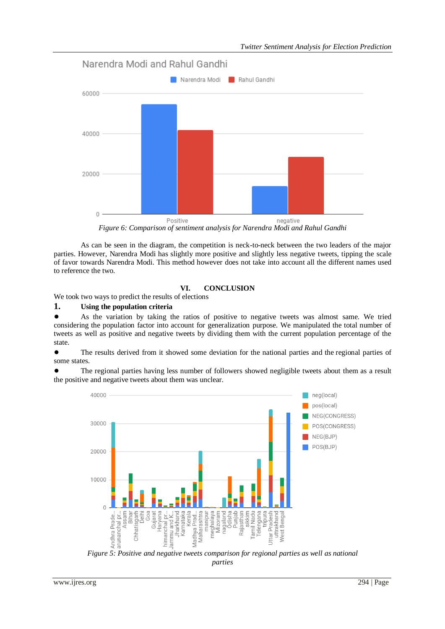

*Figure 6: Comparison of sentiment analysis for Narendra Modi and Rahul Gandhi*

As can be seen in the diagram, the competition is neck-to-neck between the two leaders of the major parties. However, Narendra Modi has slightly more positive and slightly less negative tweets, tipping the scale of favor towards Narendra Modi. This method however does not take into account all the different names used to reference the two.

# **VI. CONCLUSION**

We took two ways to predict the results of elections

# **1. Using the population criteria**

● As the variation by taking the ratios of positive to negative tweets was almost same. We tried considering the population factor into account for generalization purpose. We manipulated the total number of tweets as well as positive and negative tweets by dividing them with the current population percentage of the state.

The results derived from it showed some deviation for the national parties and the regional parties of some states.

The regional parties having less number of followers showed negligible tweets about them as a result the positive and negative tweets about them was unclear.



*Figure 5: Positive and negative tweets comparison for regional parties as well as national parties*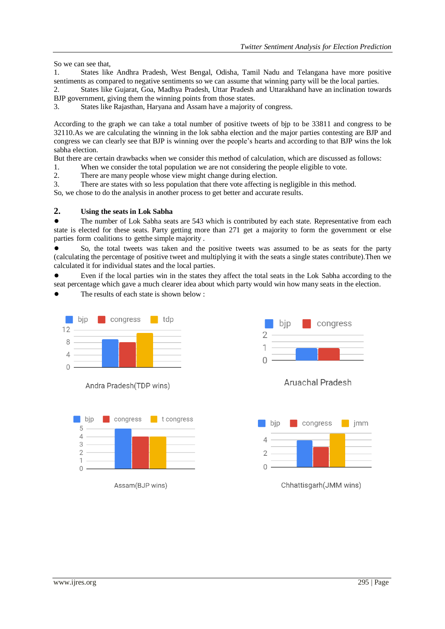So we can see that,

1. States like Andhra Pradesh, West Bengal, Odisha, Tamil Nadu and Telangana have more positive sentiments as compared to negative sentiments so we can assume that winning party will be the local parties.

2. States like Gujarat, Goa, Madhya Pradesh, Uttar Pradesh and Uttarakhand have an inclination towards BJP government, giving them the winning points from those states.

3. States like Rajasthan, Haryana and Assam have a majority of congress.

According to the graph we can take a total number of positive tweets of bjp to be 33811 and congress to be 32110.As we are calculating the winning in the lok sabha election and the major parties contesting are BJP and congress we can clearly see that BJP is winning over the people's hearts and according to that BJP wins the lok sabha election.

But there are certain drawbacks when we consider this method of calculation, which are discussed as follows:

1. When we consider the total population we are not considering the people eligible to vote.

2. There are many people whose view might change during election.

3. There are states with so less population that there vote affecting is negligible in this method.

So, we chose to do the analysis in another process to get better and accurate results.

# **2. Using the seats in Lok Sabha**

● The number of Lok Sabha seats are 543 which is contributed by each state. Representative from each state is elected for these seats. Party getting more than 271 get a majority to form the government or else parties form coalitions to getthe simple majority .

So, the total tweets was taken and the positive tweets was assumed to be as seats for the party (calculating the percentage of positive tweet and multiplying it with the seats a single states contribute).Then we calculated it for individual states and the local parties.

Even if the local parties win in the states they affect the total seats in the Lok Sabha according to the seat percentage which gave a much clearer idea about which party would win how many seats in the election.

The results of each state is shown below :



Andra Pradesh(TDP wins)



Assam(BJP wins)



# **Aruachal Pradesh**



Chhattisgarh(JMM wins)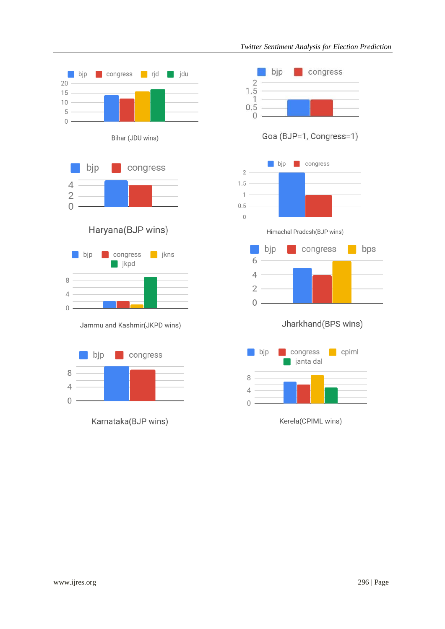

Karnataka(BJP wins)

**Congress** 

bjp

 $\frac{2}{1.5}$ 

 $0.5$ 

 $\overline{2}$ 

 $\mathbf{1}$ 

 $0$ .

Goa (BJP=1, Congress=1) bjp congress  $1.5 1 0.5 0 -$ Himachal Pradesh(BJP wins) congress bjp bps **COL** 6  $\frac{6}{4}$  $2 0 -$ Jharkhand(BPS wins) congress  $\Box$  cpiml  $\blacksquare$  bip ianta dal 8  $\overline{4}$  $\overline{0}$ 

Kerela(CPIML wins)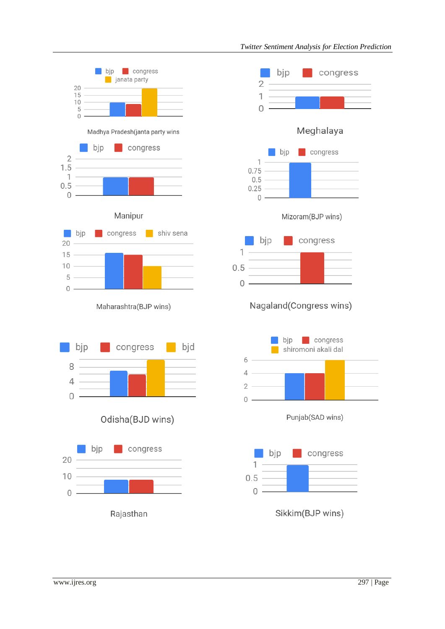